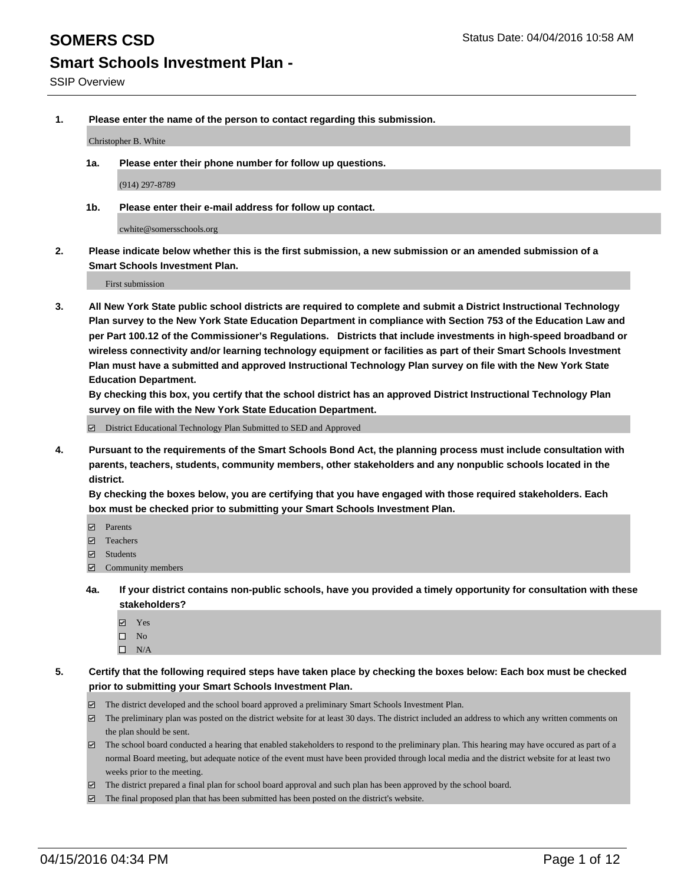**1. Please enter the name of the person to contact regarding this submission.**

Christopher B. White

**1a. Please enter their phone number for follow up questions.**

(914) 297-8789

**1b. Please enter their e-mail address for follow up contact.**

cwhite@somersschools.org

**2. Please indicate below whether this is the first submission, a new submission or an amended submission of a Smart Schools Investment Plan.**

First submission

**3. All New York State public school districts are required to complete and submit a District Instructional Technology Plan survey to the New York State Education Department in compliance with Section 753 of the Education Law and per Part 100.12 of the Commissioner's Regulations. Districts that include investments in high-speed broadband or wireless connectivity and/or learning technology equipment or facilities as part of their Smart Schools Investment Plan must have a submitted and approved Instructional Technology Plan survey on file with the New York State Education Department.** 

**By checking this box, you certify that the school district has an approved District Instructional Technology Plan survey on file with the New York State Education Department.**

■ District Educational Technology Plan Submitted to SED and Approved

**4. Pursuant to the requirements of the Smart Schools Bond Act, the planning process must include consultation with parents, teachers, students, community members, other stakeholders and any nonpublic schools located in the district.** 

**By checking the boxes below, you are certifying that you have engaged with those required stakeholders. Each box must be checked prior to submitting your Smart Schools Investment Plan.**

- **Parents**
- □ Teachers
- Students
- $\boxdot$  Community members
- **4a. If your district contains non-public schools, have you provided a timely opportunity for consultation with these stakeholders?**
	- Yes
	- $\square$  No
	- $\Box$  N/A
- **5. Certify that the following required steps have taken place by checking the boxes below: Each box must be checked prior to submitting your Smart Schools Investment Plan.**
	- The district developed and the school board approved a preliminary Smart Schools Investment Plan.
	- The preliminary plan was posted on the district website for at least 30 days. The district included an address to which any written comments on the plan should be sent.
	- $\Box$  The school board conducted a hearing that enabled stakeholders to respond to the preliminary plan. This hearing may have occured as part of a normal Board meeting, but adequate notice of the event must have been provided through local media and the district website for at least two weeks prior to the meeting.
	- The district prepared a final plan for school board approval and such plan has been approved by the school board.
	- The final proposed plan that has been submitted has been posted on the district's website.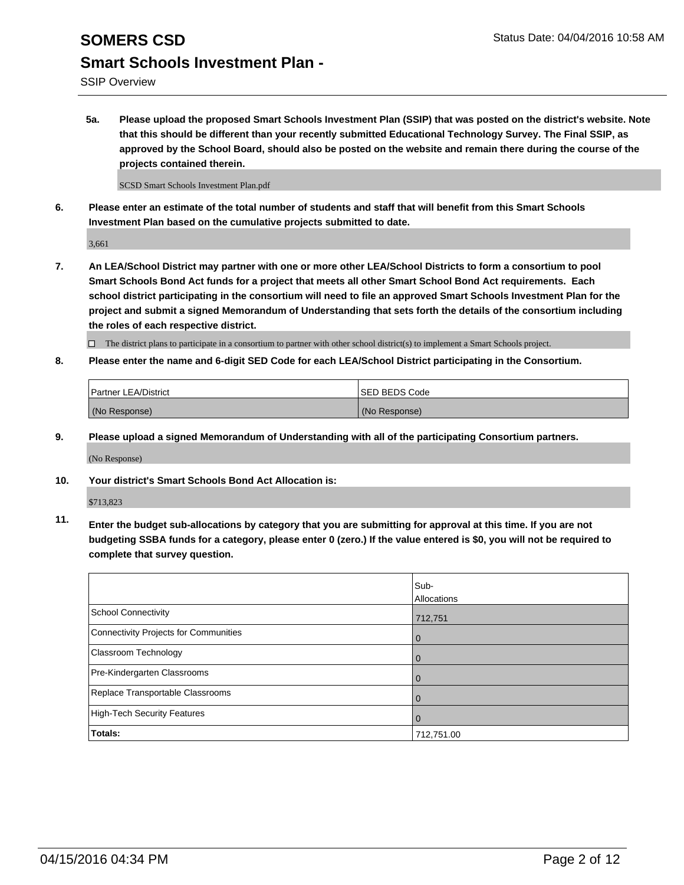## **SOMERS CSD** Status Date: 04/04/2016 10:58 AM **Smart Schools Investment Plan -**

SSIP Overview

**5a. Please upload the proposed Smart Schools Investment Plan (SSIP) that was posted on the district's website. Note that this should be different than your recently submitted Educational Technology Survey. The Final SSIP, as approved by the School Board, should also be posted on the website and remain there during the course of the projects contained therein.**

SCSD Smart Schools Investment Plan.pdf

**6. Please enter an estimate of the total number of students and staff that will benefit from this Smart Schools Investment Plan based on the cumulative projects submitted to date.**

3,661

**7. An LEA/School District may partner with one or more other LEA/School Districts to form a consortium to pool Smart Schools Bond Act funds for a project that meets all other Smart School Bond Act requirements. Each school district participating in the consortium will need to file an approved Smart Schools Investment Plan for the project and submit a signed Memorandum of Understanding that sets forth the details of the consortium including the roles of each respective district.**

 $\Box$  The district plans to participate in a consortium to partner with other school district(s) to implement a Smart Schools project.

**8. Please enter the name and 6-digit SED Code for each LEA/School District participating in the Consortium.**

| Partner LEA/District | <b>ISED BEDS Code</b> |
|----------------------|-----------------------|
| (No Response)        | (No Response)         |

**9. Please upload a signed Memorandum of Understanding with all of the participating Consortium partners.**

(No Response)

**10. Your district's Smart Schools Bond Act Allocation is:**

\$713,823

**11. Enter the budget sub-allocations by category that you are submitting for approval at this time. If you are not budgeting SSBA funds for a category, please enter 0 (zero.) If the value entered is \$0, you will not be required to complete that survey question.**

|                                       | Sub-<br>Allocations |
|---------------------------------------|---------------------|
| <b>School Connectivity</b>            | 712,751             |
| Connectivity Projects for Communities | 0                   |
| Classroom Technology                  | 0                   |
| Pre-Kindergarten Classrooms           | 0                   |
| Replace Transportable Classrooms      | $\Omega$            |
| <b>High-Tech Security Features</b>    | 0                   |
| Totals:                               | 712,751.00          |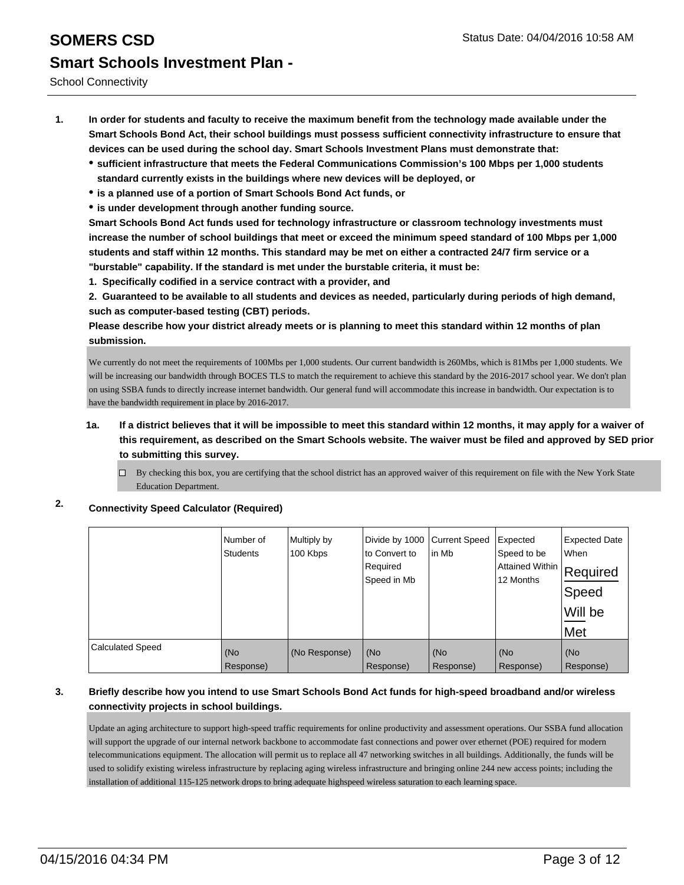- **1. In order for students and faculty to receive the maximum benefit from the technology made available under the Smart Schools Bond Act, their school buildings must possess sufficient connectivity infrastructure to ensure that devices can be used during the school day. Smart Schools Investment Plans must demonstrate that:**
	- **sufficient infrastructure that meets the Federal Communications Commission's 100 Mbps per 1,000 students standard currently exists in the buildings where new devices will be deployed, or**
	- **is a planned use of a portion of Smart Schools Bond Act funds, or**
	- **is under development through another funding source.**

**Smart Schools Bond Act funds used for technology infrastructure or classroom technology investments must increase the number of school buildings that meet or exceed the minimum speed standard of 100 Mbps per 1,000 students and staff within 12 months. This standard may be met on either a contracted 24/7 firm service or a "burstable" capability. If the standard is met under the burstable criteria, it must be:**

**1. Specifically codified in a service contract with a provider, and**

**2. Guaranteed to be available to all students and devices as needed, particularly during periods of high demand, such as computer-based testing (CBT) periods.**

**Please describe how your district already meets or is planning to meet this standard within 12 months of plan submission.**

We currently do not meet the requirements of 100Mbs per 1,000 students. Our current bandwidth is 260Mbs, which is 81Mbs per 1,000 students. We will be increasing our bandwidth through BOCES TLS to match the requirement to achieve this standard by the 2016-2017 school year. We don't plan on using SSBA funds to directly increase internet bandwidth. Our general fund will accommodate this increase in bandwidth. Our expectation is to have the bandwidth requirement in place by 2016-2017.

- **1a. If a district believes that it will be impossible to meet this standard within 12 months, it may apply for a waiver of this requirement, as described on the Smart Schools website. The waiver must be filed and approved by SED prior to submitting this survey.**
	- By checking this box, you are certifying that the school district has an approved waiver of this requirement on file with the New York State Education Department.

### **2. Connectivity Speed Calculator (Required)**

|                         | Number of<br><b>Students</b> | Multiply by<br>100 Kbps | Divide by 1000<br>to Convert to<br>Required<br>Speed in Mb | <b>Current Speed</b><br>in Mb | Expected<br>Speed to be<br> Attained Within   Required<br>12 Months | <b>Expected Date</b><br><b>When</b><br>Speed<br>Will be<br>∣Met |
|-------------------------|------------------------------|-------------------------|------------------------------------------------------------|-------------------------------|---------------------------------------------------------------------|-----------------------------------------------------------------|
| <b>Calculated Speed</b> | (No<br>Response)             | (No Response)           | (No<br>Response)                                           | (No<br>Response)              | (No<br>Response)                                                    | (No<br>Response)                                                |

### **3. Briefly describe how you intend to use Smart Schools Bond Act funds for high-speed broadband and/or wireless connectivity projects in school buildings.**

Update an aging architecture to support high-speed traffic requirements for online productivity and assessment operations. Our SSBA fund allocation will support the upgrade of our internal network backbone to accommodate fast connections and power over ethernet (POE) required for modern telecommunications equipment. The allocation will permit us to replace all 47 networking switches in all buildings. Additionally, the funds will be used to solidify existing wireless infrastructure by replacing aging wireless infrastructure and bringing online 244 new access points; including the installation of additional 115-125 network drops to bring adequate highspeed wireless saturation to each learning space.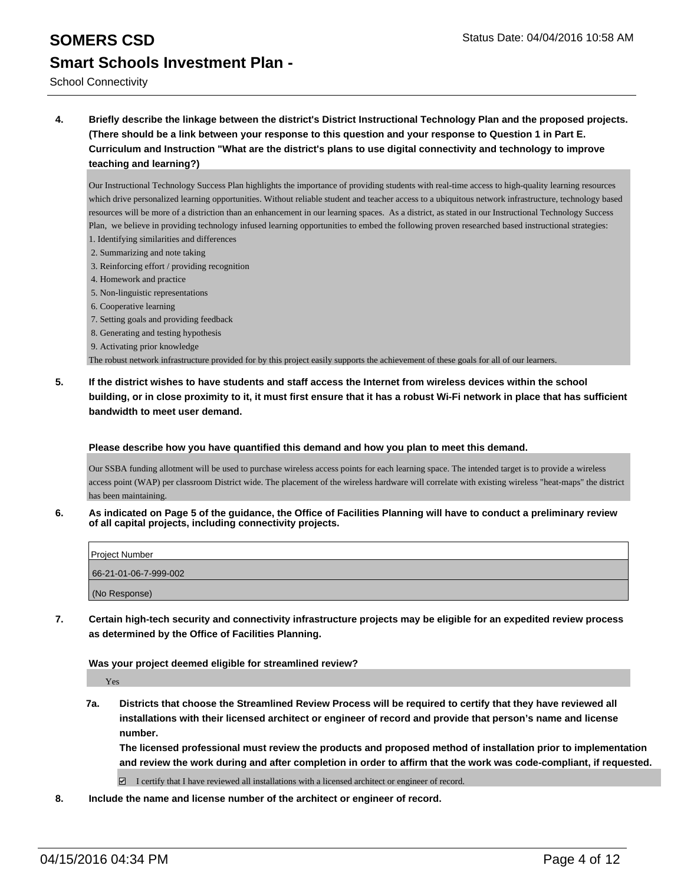## **SOMERS CSD** Status Date: 04/04/2016 10:58 AM **Smart Schools Investment Plan -**

School Connectivity

**4. Briefly describe the linkage between the district's District Instructional Technology Plan and the proposed projects. (There should be a link between your response to this question and your response to Question 1 in Part E. Curriculum and Instruction "What are the district's plans to use digital connectivity and technology to improve teaching and learning?)**

Our Instructional Technology Success Plan highlights the importance of providing students with real-time access to high-quality learning resources which drive personalized learning opportunities. Without reliable student and teacher access to a ubiquitous network infrastructure, technology based resources will be more of a distriction than an enhancement in our learning spaces. As a district, as stated in our Instructional Technology Success Plan, we believe in providing technology infused learning opportunities to embed the following proven researched based instructional strategies:

- 1. Identifying similarities and differences
- 2. Summarizing and note taking
- 3. Reinforcing effort / providing recognition
- 4. Homework and practice
- 5. Non-linguistic representations
- 6. Cooperative learning
- 7. Setting goals and providing feedback
- 8. Generating and testing hypothesis
- 9. Activating prior knowledge

The robust network infrastructure provided for by this project easily supports the achievement of these goals for all of our learners.

**5. If the district wishes to have students and staff access the Internet from wireless devices within the school building, or in close proximity to it, it must first ensure that it has a robust Wi-Fi network in place that has sufficient bandwidth to meet user demand.**

### **Please describe how you have quantified this demand and how you plan to meet this demand.**

Our SSBA funding allotment will be used to purchase wireless access points for each learning space. The intended target is to provide a wireless access point (WAP) per classroom District wide. The placement of the wireless hardware will correlate with existing wireless "heat-maps" the district has been maintaining.

**6. As indicated on Page 5 of the guidance, the Office of Facilities Planning will have to conduct a preliminary review of all capital projects, including connectivity projects.**

| Project Number        |  |
|-----------------------|--|
| 66-21-01-06-7-999-002 |  |
| (No Response)         |  |

**7. Certain high-tech security and connectivity infrastructure projects may be eligible for an expedited review process as determined by the Office of Facilities Planning.**

**Was your project deemed eligible for streamlined review?**

Yes

**7a. Districts that choose the Streamlined Review Process will be required to certify that they have reviewed all installations with their licensed architect or engineer of record and provide that person's name and license number.**

**The licensed professional must review the products and proposed method of installation prior to implementation and review the work during and after completion in order to affirm that the work was code-compliant, if requested.**

I certify that I have reviewed all installations with a licensed architect or engineer of record.

**8. Include the name and license number of the architect or engineer of record.**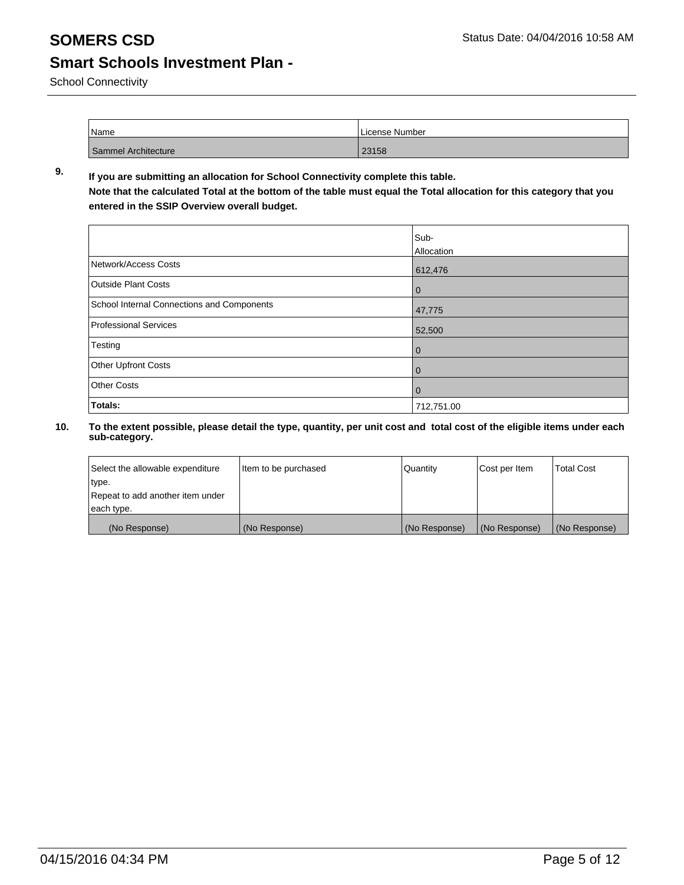School Connectivity

| Name                | License Number |
|---------------------|----------------|
| Sammel Architecture | 23158          |

**9. If you are submitting an allocation for School Connectivity complete this table.**

**Note that the calculated Total at the bottom of the table must equal the Total allocation for this category that you entered in the SSIP Overview overall budget.** 

|                                            | Sub-       |
|--------------------------------------------|------------|
|                                            | Allocation |
| Network/Access Costs                       | 612,476    |
| <b>Outside Plant Costs</b>                 | 0          |
| School Internal Connections and Components | 47,775     |
| Professional Services                      | 52,500     |
| Testing                                    | 0          |
| <b>Other Upfront Costs</b>                 | 0          |
| <b>Other Costs</b>                         | 0          |
| Totals:                                    | 712,751.00 |

| Select the allowable expenditure | litem to be purchased | Quantity      | Cost per Item | Total Cost    |
|----------------------------------|-----------------------|---------------|---------------|---------------|
| type.                            |                       |               |               |               |
| Repeat to add another item under |                       |               |               |               |
| each type.                       |                       |               |               |               |
| (No Response)                    | (No Response)         | (No Response) | (No Response) | (No Response) |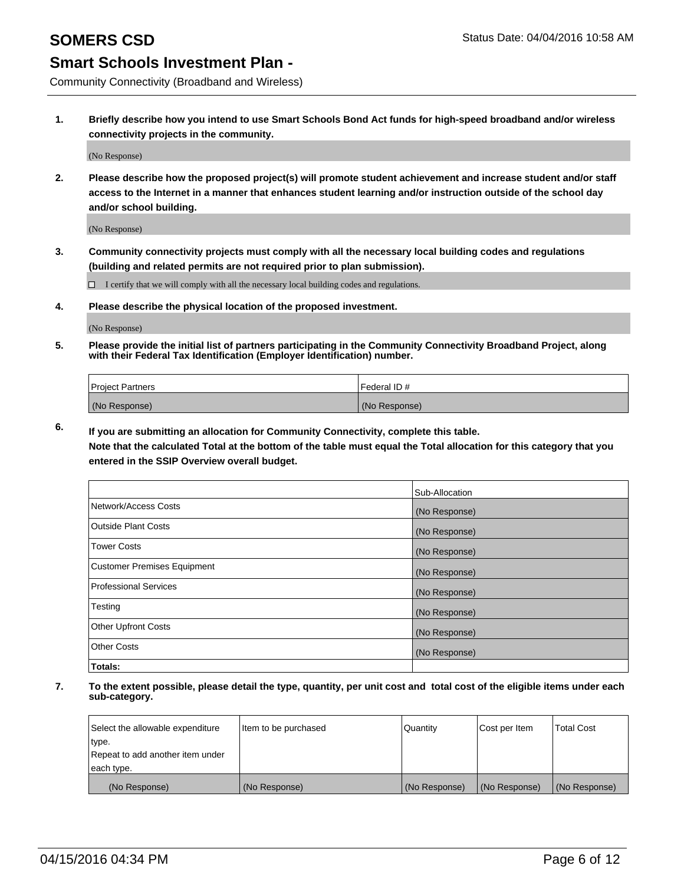Community Connectivity (Broadband and Wireless)

**1. Briefly describe how you intend to use Smart Schools Bond Act funds for high-speed broadband and/or wireless connectivity projects in the community.**

(No Response)

**2. Please describe how the proposed project(s) will promote student achievement and increase student and/or staff access to the Internet in a manner that enhances student learning and/or instruction outside of the school day and/or school building.**

(No Response)

**3. Community connectivity projects must comply with all the necessary local building codes and regulations (building and related permits are not required prior to plan submission).**

 $\Box$  I certify that we will comply with all the necessary local building codes and regulations.

**4. Please describe the physical location of the proposed investment.**

(No Response)

**5. Please provide the initial list of partners participating in the Community Connectivity Broadband Project, along with their Federal Tax Identification (Employer Identification) number.**

| <b>Project Partners</b> | Federal ID#   |
|-------------------------|---------------|
| (No Response)           | (No Response) |

**6. If you are submitting an allocation for Community Connectivity, complete this table.**

**Note that the calculated Total at the bottom of the table must equal the Total allocation for this category that you entered in the SSIP Overview overall budget.**

|                                    | Sub-Allocation |
|------------------------------------|----------------|
| Network/Access Costs               | (No Response)  |
| Outside Plant Costs                | (No Response)  |
| <b>Tower Costs</b>                 | (No Response)  |
| <b>Customer Premises Equipment</b> | (No Response)  |
| Professional Services              | (No Response)  |
| Testing                            | (No Response)  |
| <b>Other Upfront Costs</b>         | (No Response)  |
| Other Costs                        | (No Response)  |
| Totals:                            |                |

| Select the allowable expenditure | Item to be purchased | Quantity      | Cost per Item | <b>Total Cost</b> |
|----------------------------------|----------------------|---------------|---------------|-------------------|
| type.                            |                      |               |               |                   |
| Repeat to add another item under |                      |               |               |                   |
| each type.                       |                      |               |               |                   |
| (No Response)                    | (No Response)        | (No Response) | (No Response) | (No Response)     |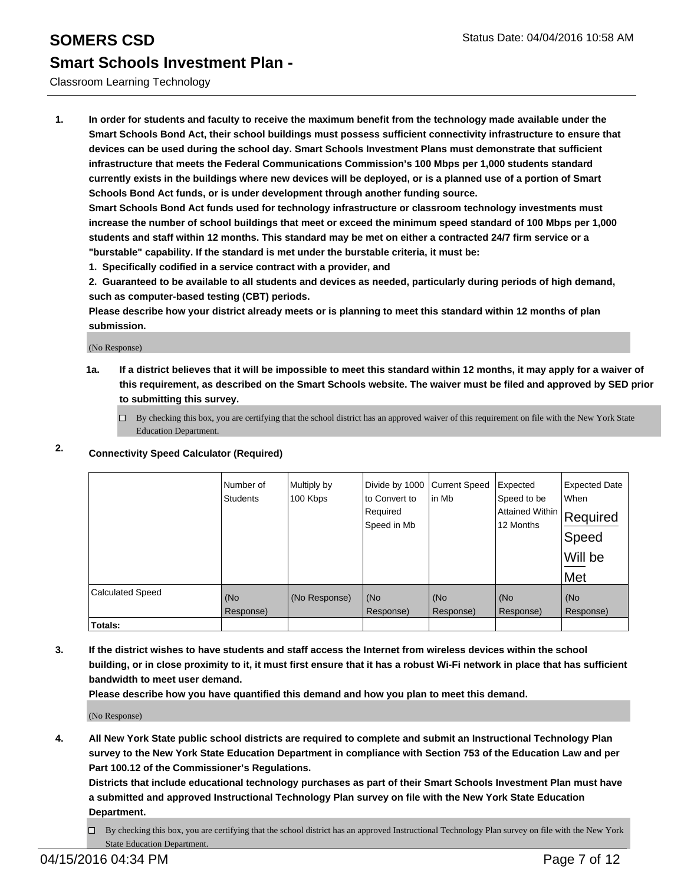### Classroom Learning Technology

**1. In order for students and faculty to receive the maximum benefit from the technology made available under the Smart Schools Bond Act, their school buildings must possess sufficient connectivity infrastructure to ensure that devices can be used during the school day. Smart Schools Investment Plans must demonstrate that sufficient infrastructure that meets the Federal Communications Commission's 100 Mbps per 1,000 students standard currently exists in the buildings where new devices will be deployed, or is a planned use of a portion of Smart Schools Bond Act funds, or is under development through another funding source.**

**Smart Schools Bond Act funds used for technology infrastructure or classroom technology investments must increase the number of school buildings that meet or exceed the minimum speed standard of 100 Mbps per 1,000 students and staff within 12 months. This standard may be met on either a contracted 24/7 firm service or a "burstable" capability. If the standard is met under the burstable criteria, it must be:**

**1. Specifically codified in a service contract with a provider, and**

**2. Guaranteed to be available to all students and devices as needed, particularly during periods of high demand, such as computer-based testing (CBT) periods.**

**Please describe how your district already meets or is planning to meet this standard within 12 months of plan submission.**

(No Response)

**1a. If a district believes that it will be impossible to meet this standard within 12 months, it may apply for a waiver of this requirement, as described on the Smart Schools website. The waiver must be filed and approved by SED prior to submitting this survey.**

 $\Box$  By checking this box, you are certifying that the school district has an approved waiver of this requirement on file with the New York State Education Department.

### **2. Connectivity Speed Calculator (Required)**

|                         | Number of<br><b>Students</b> | Multiply by<br>100 Kbps | Divide by 1000<br>to Convert to<br>Required<br>Speed in Mb | <b>Current Speed</b><br>lin Mb | Expected<br>Speed to be<br> Attained Within   Required<br>12 Months | <b>Expected Date</b><br>When<br>Speed<br>Will be<br>Met |
|-------------------------|------------------------------|-------------------------|------------------------------------------------------------|--------------------------------|---------------------------------------------------------------------|---------------------------------------------------------|
| <b>Calculated Speed</b> | (No<br>Response)             | (No Response)           | (No<br>Response)                                           | (No<br>Response)               | (No<br>Response)                                                    | (No<br>Response)                                        |
| <b>Totals:</b>          |                              |                         |                                                            |                                |                                                                     |                                                         |

**3. If the district wishes to have students and staff access the Internet from wireless devices within the school building, or in close proximity to it, it must first ensure that it has a robust Wi-Fi network in place that has sufficient bandwidth to meet user demand.**

**Please describe how you have quantified this demand and how you plan to meet this demand.**

(No Response)

**4. All New York State public school districts are required to complete and submit an Instructional Technology Plan survey to the New York State Education Department in compliance with Section 753 of the Education Law and per Part 100.12 of the Commissioner's Regulations.**

**Districts that include educational technology purchases as part of their Smart Schools Investment Plan must have a submitted and approved Instructional Technology Plan survey on file with the New York State Education Department.**

By checking this box, you are certifying that the school district has an approved Instructional Technology Plan survey on file with the New York State Education Department.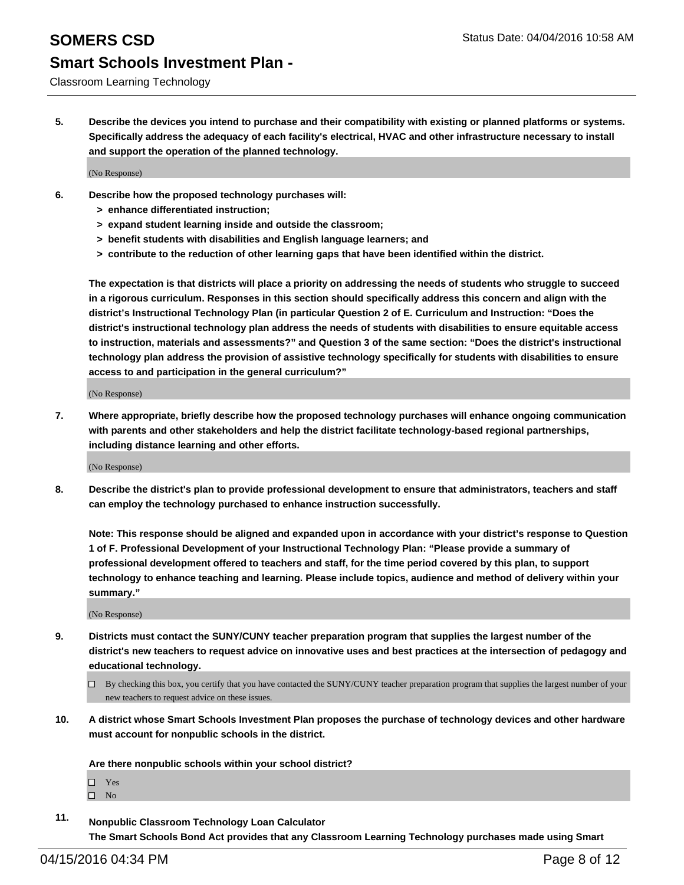**5. Describe the devices you intend to purchase and their compatibility with existing or planned platforms or systems. Specifically address the adequacy of each facility's electrical, HVAC and other infrastructure necessary to install and support the operation of the planned technology.**

(No Response)

- **6. Describe how the proposed technology purchases will:**
	- **> enhance differentiated instruction;**
	- **> expand student learning inside and outside the classroom;**
	- **> benefit students with disabilities and English language learners; and**
	- **> contribute to the reduction of other learning gaps that have been identified within the district.**

**The expectation is that districts will place a priority on addressing the needs of students who struggle to succeed in a rigorous curriculum. Responses in this section should specifically address this concern and align with the district's Instructional Technology Plan (in particular Question 2 of E. Curriculum and Instruction: "Does the district's instructional technology plan address the needs of students with disabilities to ensure equitable access to instruction, materials and assessments?" and Question 3 of the same section: "Does the district's instructional technology plan address the provision of assistive technology specifically for students with disabilities to ensure access to and participation in the general curriculum?"**

(No Response)

**7. Where appropriate, briefly describe how the proposed technology purchases will enhance ongoing communication with parents and other stakeholders and help the district facilitate technology-based regional partnerships, including distance learning and other efforts.**

(No Response)

**8. Describe the district's plan to provide professional development to ensure that administrators, teachers and staff can employ the technology purchased to enhance instruction successfully.**

**Note: This response should be aligned and expanded upon in accordance with your district's response to Question 1 of F. Professional Development of your Instructional Technology Plan: "Please provide a summary of professional development offered to teachers and staff, for the time period covered by this plan, to support technology to enhance teaching and learning. Please include topics, audience and method of delivery within your summary."**

(No Response)

- **9. Districts must contact the SUNY/CUNY teacher preparation program that supplies the largest number of the district's new teachers to request advice on innovative uses and best practices at the intersection of pedagogy and educational technology.**
	- $\Box$  By checking this box, you certify that you have contacted the SUNY/CUNY teacher preparation program that supplies the largest number of your new teachers to request advice on these issues.
- **10. A district whose Smart Schools Investment Plan proposes the purchase of technology devices and other hardware must account for nonpublic schools in the district.**

**Are there nonpublic schools within your school district?**

□ Yes  $\square$  No

**11. Nonpublic Classroom Technology Loan Calculator The Smart Schools Bond Act provides that any Classroom Learning Technology purchases made using Smart**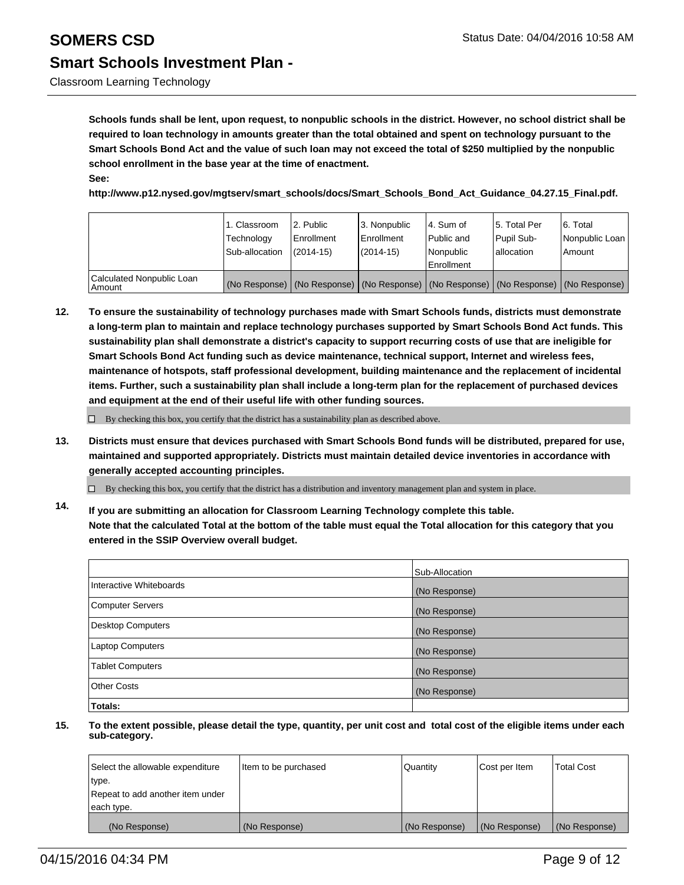## **SOMERS CSD** Status Date: 04/04/2016 10:58 AM **Smart Schools Investment Plan -**

Classroom Learning Technology

**Schools funds shall be lent, upon request, to nonpublic schools in the district. However, no school district shall be required to loan technology in amounts greater than the total obtained and spent on technology pursuant to the Smart Schools Bond Act and the value of such loan may not exceed the total of \$250 multiplied by the nonpublic school enrollment in the base year at the time of enactment. See:**

**http://www.p12.nysed.gov/mgtserv/smart\_schools/docs/Smart\_Schools\_Bond\_Act\_Guidance\_04.27.15\_Final.pdf.**

|                                     | 1. Classroom<br>Technology<br>Sub-allocation | 2. Public<br>Enrollment<br>$(2014 - 15)$ | 3. Nonpublic<br><b>Enrollment</b><br>(2014-15)                                                | l 4. Sum of<br>Public and<br>Nonpublic<br>Enrollment | 15. Total Per<br>Pupil Sub-<br>lallocation | 6. Total<br>Nonpublic Loan<br>Amount |
|-------------------------------------|----------------------------------------------|------------------------------------------|-----------------------------------------------------------------------------------------------|------------------------------------------------------|--------------------------------------------|--------------------------------------|
| Calculated Nonpublic Loan<br>Amount |                                              |                                          | (No Response)   (No Response)   (No Response)   (No Response)   (No Response)   (No Response) |                                                      |                                            |                                      |

**12. To ensure the sustainability of technology purchases made with Smart Schools funds, districts must demonstrate a long-term plan to maintain and replace technology purchases supported by Smart Schools Bond Act funds. This sustainability plan shall demonstrate a district's capacity to support recurring costs of use that are ineligible for Smart Schools Bond Act funding such as device maintenance, technical support, Internet and wireless fees, maintenance of hotspots, staff professional development, building maintenance and the replacement of incidental items. Further, such a sustainability plan shall include a long-term plan for the replacement of purchased devices and equipment at the end of their useful life with other funding sources.**

 $\Box$  By checking this box, you certify that the district has a sustainability plan as described above.

**13. Districts must ensure that devices purchased with Smart Schools Bond funds will be distributed, prepared for use, maintained and supported appropriately. Districts must maintain detailed device inventories in accordance with generally accepted accounting principles.**

 $\Box$  By checking this box, you certify that the district has a distribution and inventory management plan and system in place.

**14. If you are submitting an allocation for Classroom Learning Technology complete this table. Note that the calculated Total at the bottom of the table must equal the Total allocation for this category that you entered in the SSIP Overview overall budget.**

|                          | Sub-Allocation |
|--------------------------|----------------|
| Interactive Whiteboards  | (No Response)  |
| <b>Computer Servers</b>  | (No Response)  |
| <b>Desktop Computers</b> | (No Response)  |
| Laptop Computers         | (No Response)  |
| <b>Tablet Computers</b>  | (No Response)  |
| Other Costs              | (No Response)  |
| Totals:                  |                |

| Select the allowable expenditure | Item to be purchased | Quantity      | Cost per Item | <b>Total Cost</b> |
|----------------------------------|----------------------|---------------|---------------|-------------------|
| type.                            |                      |               |               |                   |
| Repeat to add another item under |                      |               |               |                   |
| each type.                       |                      |               |               |                   |
| (No Response)                    | (No Response)        | (No Response) | (No Response) | (No Response)     |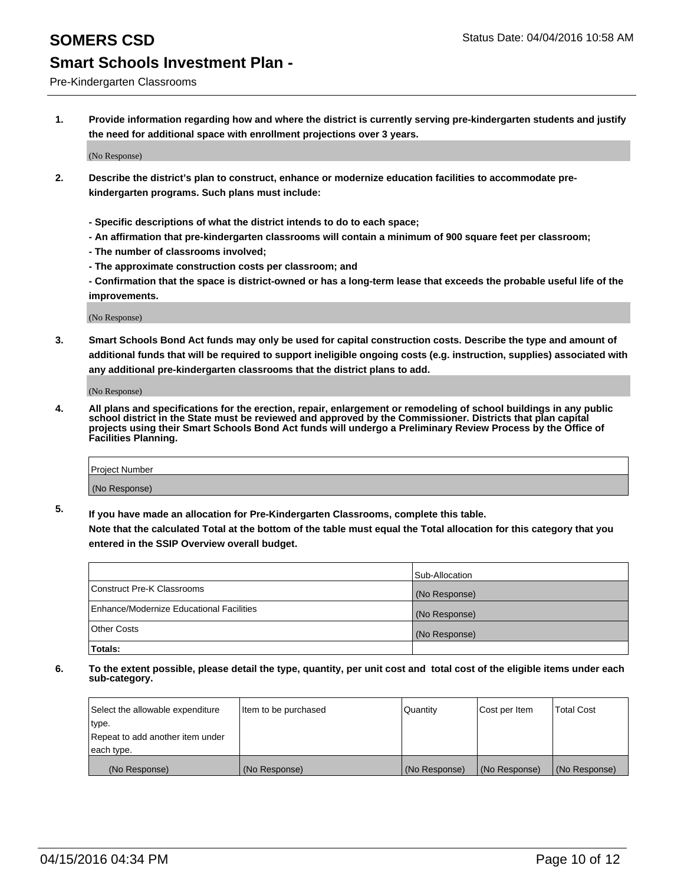Pre-Kindergarten Classrooms

**1. Provide information regarding how and where the district is currently serving pre-kindergarten students and justify the need for additional space with enrollment projections over 3 years.**

(No Response)

- **2. Describe the district's plan to construct, enhance or modernize education facilities to accommodate prekindergarten programs. Such plans must include:**
	- **Specific descriptions of what the district intends to do to each space;**
	- **An affirmation that pre-kindergarten classrooms will contain a minimum of 900 square feet per classroom;**
	- **The number of classrooms involved;**
	- **The approximate construction costs per classroom; and**
	- **Confirmation that the space is district-owned or has a long-term lease that exceeds the probable useful life of the improvements.**

(No Response)

**3. Smart Schools Bond Act funds may only be used for capital construction costs. Describe the type and amount of additional funds that will be required to support ineligible ongoing costs (e.g. instruction, supplies) associated with any additional pre-kindergarten classrooms that the district plans to add.**

(No Response)

**4. All plans and specifications for the erection, repair, enlargement or remodeling of school buildings in any public school district in the State must be reviewed and approved by the Commissioner. Districts that plan capital projects using their Smart Schools Bond Act funds will undergo a Preliminary Review Process by the Office of Facilities Planning.**

| Project Number |  |
|----------------|--|
| (No Response)  |  |

**5. If you have made an allocation for Pre-Kindergarten Classrooms, complete this table. Note that the calculated Total at the bottom of the table must equal the Total allocation for this category that you**

**entered in the SSIP Overview overall budget.**

|                                          | Sub-Allocation |
|------------------------------------------|----------------|
| Construct Pre-K Classrooms               | (No Response)  |
| Enhance/Modernize Educational Facilities | (No Response)  |
| Other Costs                              | (No Response)  |
| Totals:                                  |                |

| Select the allowable expenditure | Item to be purchased | Quantity      | Cost per Item | <b>Total Cost</b> |
|----------------------------------|----------------------|---------------|---------------|-------------------|
| type.                            |                      |               |               |                   |
| Repeat to add another item under |                      |               |               |                   |
| each type.                       |                      |               |               |                   |
| (No Response)                    | (No Response)        | (No Response) | (No Response) | (No Response)     |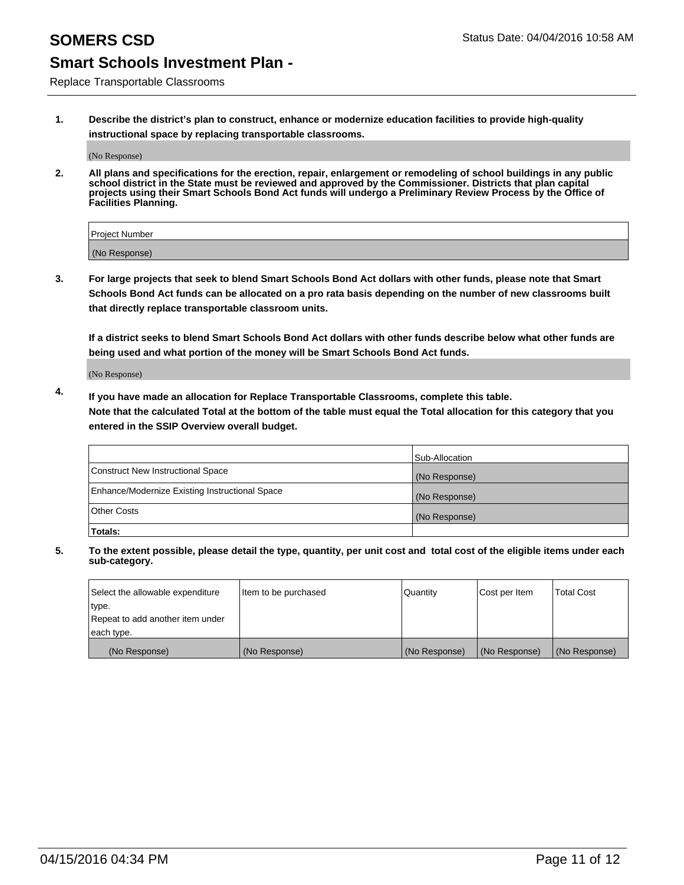Replace Transportable Classrooms

**1. Describe the district's plan to construct, enhance or modernize education facilities to provide high-quality instructional space by replacing transportable classrooms.**

(No Response)

**2. All plans and specifications for the erection, repair, enlargement or remodeling of school buildings in any public school district in the State must be reviewed and approved by the Commissioner. Districts that plan capital projects using their Smart Schools Bond Act funds will undergo a Preliminary Review Process by the Office of Facilities Planning.**

| Project Number |  |
|----------------|--|
| (No Response)  |  |

**3. For large projects that seek to blend Smart Schools Bond Act dollars with other funds, please note that Smart Schools Bond Act funds can be allocated on a pro rata basis depending on the number of new classrooms built that directly replace transportable classroom units.**

**If a district seeks to blend Smart Schools Bond Act dollars with other funds describe below what other funds are being used and what portion of the money will be Smart Schools Bond Act funds.**

(No Response)

**4. If you have made an allocation for Replace Transportable Classrooms, complete this table. Note that the calculated Total at the bottom of the table must equal the Total allocation for this category that you entered in the SSIP Overview overall budget.**

|                                                | Sub-Allocation |
|------------------------------------------------|----------------|
| Construct New Instructional Space              | (No Response)  |
| Enhance/Modernize Existing Instructional Space | (No Response)  |
| <b>Other Costs</b>                             | (No Response)  |
| Totals:                                        |                |

| Select the allowable expenditure | Item to be purchased | Quantity      | Cost per Item | <b>Total Cost</b> |
|----------------------------------|----------------------|---------------|---------------|-------------------|
| type.                            |                      |               |               |                   |
| Repeat to add another item under |                      |               |               |                   |
| each type.                       |                      |               |               |                   |
| (No Response)                    | (No Response)        | (No Response) | (No Response) | (No Response)     |